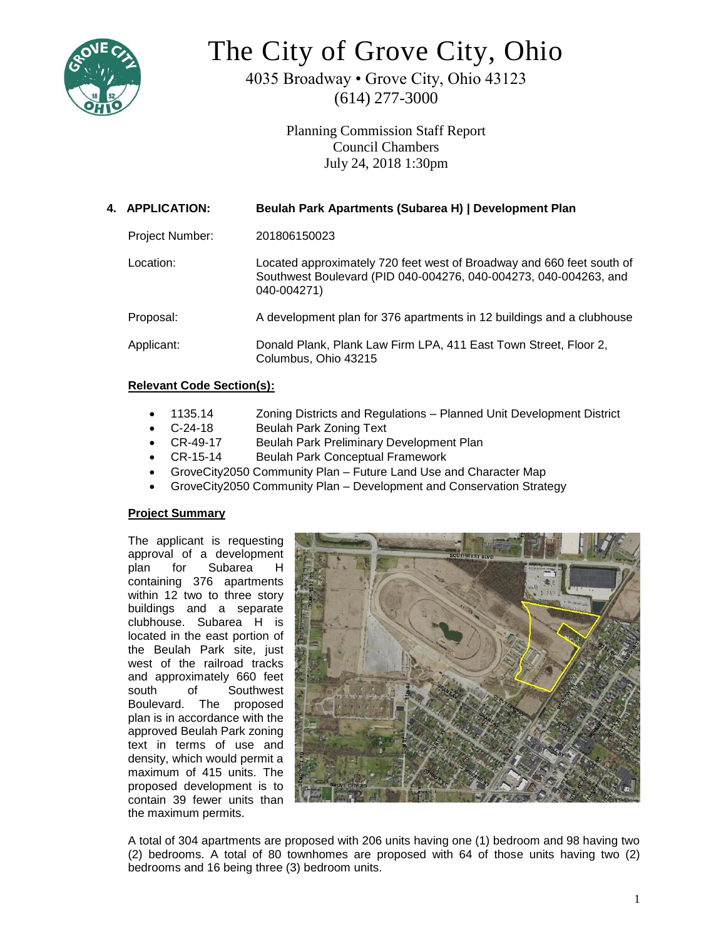

# The City of Grove City, Ohio

4035 Broadway • Grove City, Ohio 43123 (614) 277-3000

> Planning Commission Staff Report Council Chambers July 24, 2018 1:30pm

| 4. APPLICATION: | Beulah Park Apartments (Subarea H)   Development Plan                                                                                                    |
|-----------------|----------------------------------------------------------------------------------------------------------------------------------------------------------|
| Project Number: | 201806150023                                                                                                                                             |
| Location:       | Located approximately 720 feet west of Broadway and 660 feet south of<br>Southwest Boulevard (PID 040-004276, 040-004273, 040-004263, and<br>040-004271) |
| Proposal:       | A development plan for 376 apartments in 12 buildings and a clubhouse                                                                                    |
| Applicant:      | Donald Plank, Plank Law Firm LPA, 411 East Town Street, Floor 2,<br>Columbus, Ohio 43215                                                                 |

# **Relevant Code Section(s):**

- 1135.14 Zoning Districts and Regulations Planned Unit Development District
- C-24-18 Beulah Park Zoning Text
- CR-49-17 Beulah Park Preliminary Development Plan
- CR-15-14 Beulah Park Conceptual Framework
- GroveCity2050 Community Plan Future Land Use and Character Map
- GroveCity2050 Community Plan Development and Conservation Strategy

# **Project Summary**

The applicant is requesting approval of a development plan for Subarea H containing 376 apartments within 12 two to three story buildings and a separate clubhouse. Subarea H is located in the east portion of the Beulah Park site, just west of the railroad tracks and approximately 660 feet south of Southwest Boulevard. The proposed plan is in accordance with the approved Beulah Park zoning text in terms of use and density, which would permit a maximum of 415 units. The proposed development is to contain 39 fewer units than the maximum permits.



A total of 304 apartments are proposed with 206 units having one (1) bedroom and 98 having two (2) bedrooms. A total of 80 townhomes are proposed with 64 of those units having two (2) bedrooms and 16 being three (3) bedroom units.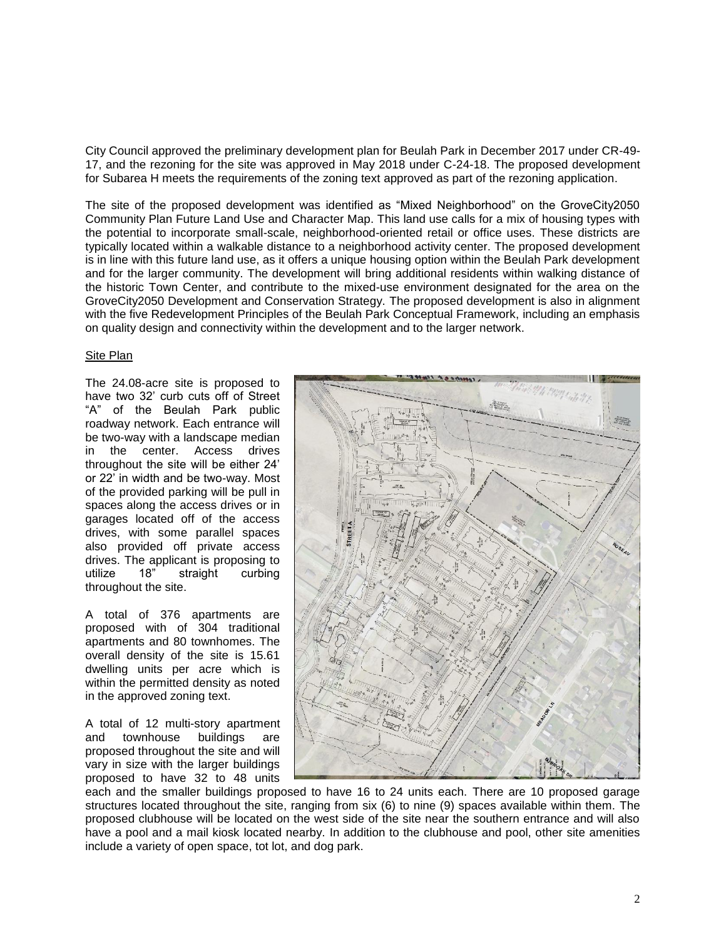City Council approved the preliminary development plan for Beulah Park in December 2017 under CR-49- 17, and the rezoning for the site was approved in May 2018 under C-24-18. The proposed development for Subarea H meets the requirements of the zoning text approved as part of the rezoning application.

The site of the proposed development was identified as "Mixed Neighborhood" on the GroveCity2050 Community Plan Future Land Use and Character Map. This land use calls for a mix of housing types with the potential to incorporate small-scale, neighborhood-oriented retail or office uses. These districts are typically located within a walkable distance to a neighborhood activity center. The proposed development is in line with this future land use, as it offers a unique housing option within the Beulah Park development and for the larger community. The development will bring additional residents within walking distance of the historic Town Center, and contribute to the mixed-use environment designated for the area on the GroveCity2050 Development and Conservation Strategy. The proposed development is also in alignment with the five Redevelopment Principles of the Beulah Park Conceptual Framework, including an emphasis on quality design and connectivity within the development and to the larger network.

# Site Plan

The 24.08-acre site is proposed to have two 32' curb cuts off of Street "A" of the Beulah Park public roadway network. Each entrance will be two-way with a landscape median in the center. Access drives throughout the site will be either 24' or 22' in width and be two-way. Most of the provided parking will be pull in spaces along the access drives or in garages located off of the access drives, with some parallel spaces also provided off private access drives. The applicant is proposing to utilize 18" straight curbing throughout the site.

A total of 376 apartments are proposed with of 304 traditional apartments and 80 townhomes. The overall density of the site is 15.61 dwelling units per acre which is within the permitted density as noted in the approved zoning text.

A total of 12 multi-story apartment and townhouse buildings are proposed throughout the site and will vary in size with the larger buildings proposed to have 32 to 48 units



each and the smaller buildings proposed to have 16 to 24 units each. There are 10 proposed garage structures located throughout the site, ranging from six (6) to nine (9) spaces available within them. The proposed clubhouse will be located on the west side of the site near the southern entrance and will also have a pool and a mail kiosk located nearby. In addition to the clubhouse and pool, other site amenities include a variety of open space, tot lot, and dog park.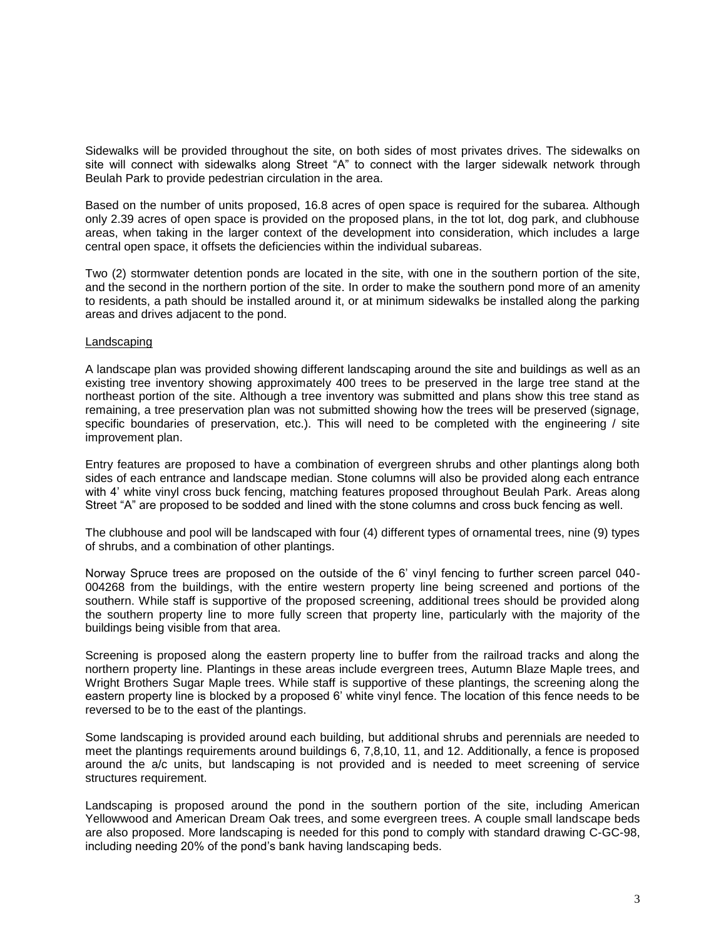Sidewalks will be provided throughout the site, on both sides of most privates drives. The sidewalks on site will connect with sidewalks along Street "A" to connect with the larger sidewalk network through Beulah Park to provide pedestrian circulation in the area.

Based on the number of units proposed, 16.8 acres of open space is required for the subarea. Although only 2.39 acres of open space is provided on the proposed plans, in the tot lot, dog park, and clubhouse areas, when taking in the larger context of the development into consideration, which includes a large central open space, it offsets the deficiencies within the individual subareas.

Two (2) stormwater detention ponds are located in the site, with one in the southern portion of the site, and the second in the northern portion of the site. In order to make the southern pond more of an amenity to residents, a path should be installed around it, or at minimum sidewalks be installed along the parking areas and drives adjacent to the pond.

# Landscaping

A landscape plan was provided showing different landscaping around the site and buildings as well as an existing tree inventory showing approximately 400 trees to be preserved in the large tree stand at the northeast portion of the site. Although a tree inventory was submitted and plans show this tree stand as remaining, a tree preservation plan was not submitted showing how the trees will be preserved (signage, specific boundaries of preservation, etc.). This will need to be completed with the engineering / site improvement plan.

Entry features are proposed to have a combination of evergreen shrubs and other plantings along both sides of each entrance and landscape median. Stone columns will also be provided along each entrance with 4' white vinyl cross buck fencing, matching features proposed throughout Beulah Park. Areas along Street "A" are proposed to be sodded and lined with the stone columns and cross buck fencing as well.

The clubhouse and pool will be landscaped with four (4) different types of ornamental trees, nine (9) types of shrubs, and a combination of other plantings.

Norway Spruce trees are proposed on the outside of the 6' vinyl fencing to further screen parcel 040- 004268 from the buildings, with the entire western property line being screened and portions of the southern. While staff is supportive of the proposed screening, additional trees should be provided along the southern property line to more fully screen that property line, particularly with the majority of the buildings being visible from that area.

Screening is proposed along the eastern property line to buffer from the railroad tracks and along the northern property line. Plantings in these areas include evergreen trees, Autumn Blaze Maple trees, and Wright Brothers Sugar Maple trees. While staff is supportive of these plantings, the screening along the eastern property line is blocked by a proposed 6' white vinyl fence. The location of this fence needs to be reversed to be to the east of the plantings.

Some landscaping is provided around each building, but additional shrubs and perennials are needed to meet the plantings requirements around buildings 6, 7,8,10, 11, and 12. Additionally, a fence is proposed around the a/c units, but landscaping is not provided and is needed to meet screening of service structures requirement.

Landscaping is proposed around the pond in the southern portion of the site, including American Yellowwood and American Dream Oak trees, and some evergreen trees. A couple small landscape beds are also proposed. More landscaping is needed for this pond to comply with standard drawing C-GC-98, including needing 20% of the pond's bank having landscaping beds.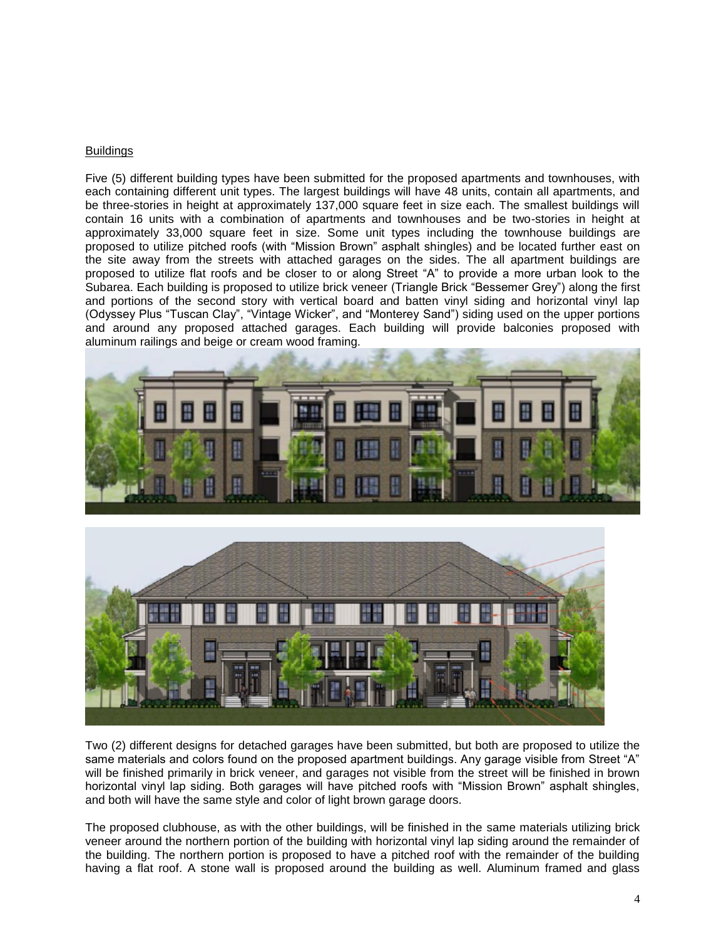## **Buildings**

Five (5) different building types have been submitted for the proposed apartments and townhouses, with each containing different unit types. The largest buildings will have 48 units, contain all apartments, and be three-stories in height at approximately 137,000 square feet in size each. The smallest buildings will contain 16 units with a combination of apartments and townhouses and be two-stories in height at approximately 33,000 square feet in size. Some unit types including the townhouse buildings are proposed to utilize pitched roofs (with "Mission Brown" asphalt shingles) and be located further east on the site away from the streets with attached garages on the sides. The all apartment buildings are proposed to utilize flat roofs and be closer to or along Street "A" to provide a more urban look to the Subarea. Each building is proposed to utilize brick veneer (Triangle Brick "Bessemer Grey") along the first and portions of the second story with vertical board and batten vinyl siding and horizontal vinyl lap (Odyssey Plus "Tuscan Clay", "Vintage Wicker", and "Monterey Sand") siding used on the upper portions and around any proposed attached garages. Each building will provide balconies proposed with aluminum railings and beige or cream wood framing.





Two (2) different designs for detached garages have been submitted, but both are proposed to utilize the same materials and colors found on the proposed apartment buildings. Any garage visible from Street "A" will be finished primarily in brick veneer, and garages not visible from the street will be finished in brown horizontal vinyl lap siding. Both garages will have pitched roofs with "Mission Brown" asphalt shingles, and both will have the same style and color of light brown garage doors.

The proposed clubhouse, as with the other buildings, will be finished in the same materials utilizing brick veneer around the northern portion of the building with horizontal vinyl lap siding around the remainder of the building. The northern portion is proposed to have a pitched roof with the remainder of the building having a flat roof. A stone wall is proposed around the building as well. Aluminum framed and glass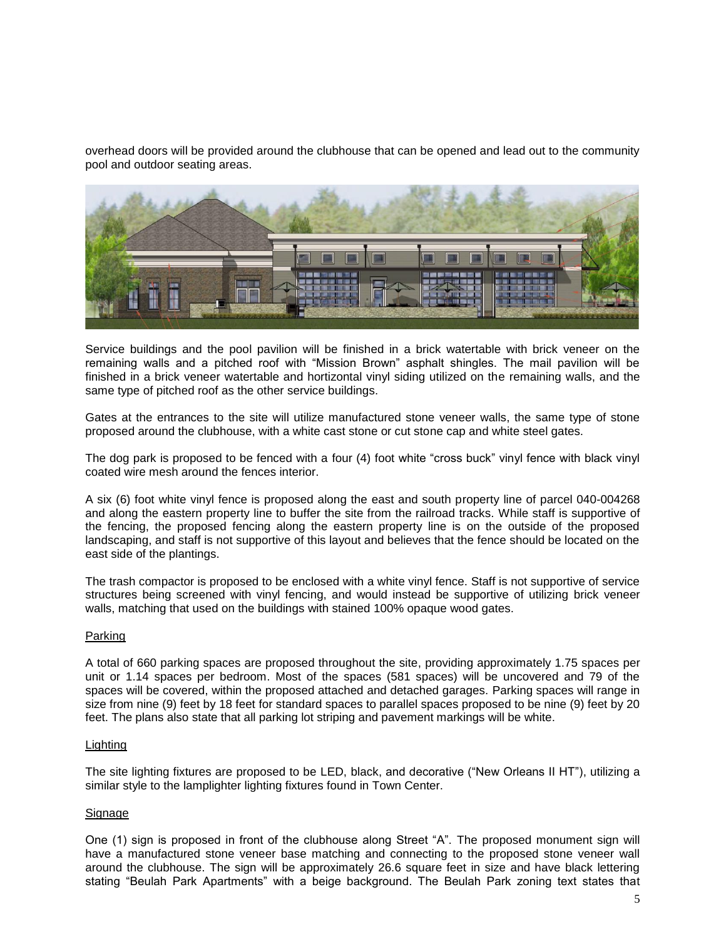overhead doors will be provided around the clubhouse that can be opened and lead out to the community pool and outdoor seating areas.



Service buildings and the pool pavilion will be finished in a brick watertable with brick veneer on the remaining walls and a pitched roof with "Mission Brown" asphalt shingles. The mail pavilion will be finished in a brick veneer watertable and hortizontal vinyl siding utilized on the remaining walls, and the same type of pitched roof as the other service buildings.

Gates at the entrances to the site will utilize manufactured stone veneer walls, the same type of stone proposed around the clubhouse, with a white cast stone or cut stone cap and white steel gates.

The dog park is proposed to be fenced with a four (4) foot white "cross buck" vinyl fence with black vinyl coated wire mesh around the fences interior.

A six (6) foot white vinyl fence is proposed along the east and south property line of parcel 040-004268 and along the eastern property line to buffer the site from the railroad tracks. While staff is supportive of the fencing, the proposed fencing along the eastern property line is on the outside of the proposed landscaping, and staff is not supportive of this layout and believes that the fence should be located on the east side of the plantings.

The trash compactor is proposed to be enclosed with a white vinyl fence. Staff is not supportive of service structures being screened with vinyl fencing, and would instead be supportive of utilizing brick veneer walls, matching that used on the buildings with stained 100% opaque wood gates.

# Parking

A total of 660 parking spaces are proposed throughout the site, providing approximately 1.75 spaces per unit or 1.14 spaces per bedroom. Most of the spaces (581 spaces) will be uncovered and 79 of the spaces will be covered, within the proposed attached and detached garages. Parking spaces will range in size from nine (9) feet by 18 feet for standard spaces to parallel spaces proposed to be nine (9) feet by 20 feet. The plans also state that all parking lot striping and pavement markings will be white.

#### Lighting

The site lighting fixtures are proposed to be LED, black, and decorative ("New Orleans II HT"), utilizing a similar style to the lamplighter lighting fixtures found in Town Center.

#### Signage

One (1) sign is proposed in front of the clubhouse along Street "A". The proposed monument sign will have a manufactured stone veneer base matching and connecting to the proposed stone veneer wall around the clubhouse. The sign will be approximately 26.6 square feet in size and have black lettering stating "Beulah Park Apartments" with a beige background. The Beulah Park zoning text states that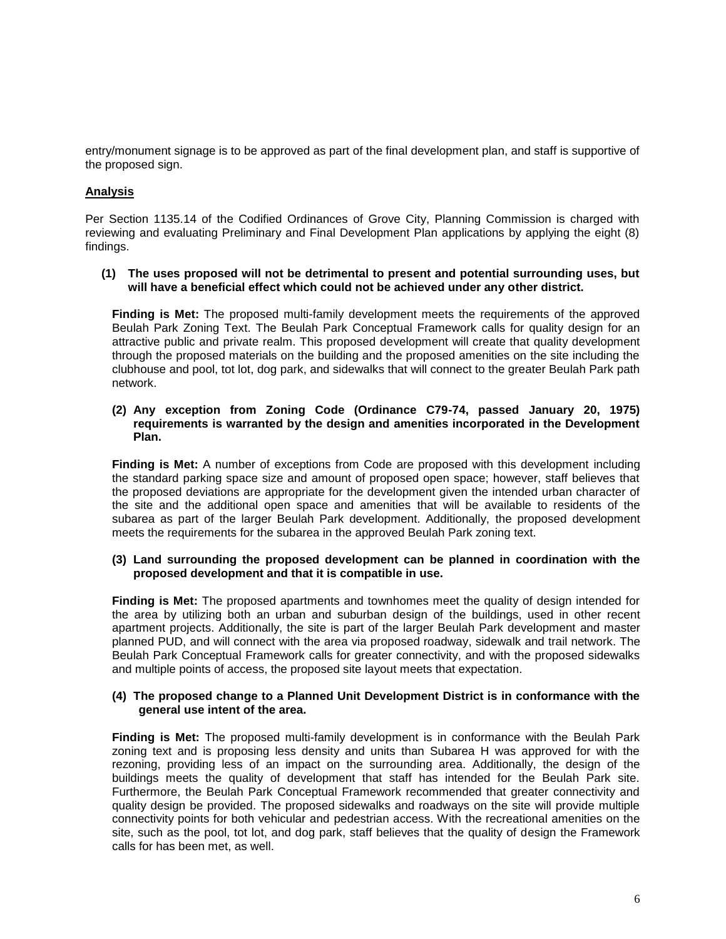entry/monument signage is to be approved as part of the final development plan, and staff is supportive of the proposed sign.

# **Analysis**

Per Section 1135.14 of the Codified Ordinances of Grove City, Planning Commission is charged with reviewing and evaluating Preliminary and Final Development Plan applications by applying the eight (8) findings.

## **(1) The uses proposed will not be detrimental to present and potential surrounding uses, but will have a beneficial effect which could not be achieved under any other district.**

**Finding is Met:** The proposed multi-family development meets the requirements of the approved Beulah Park Zoning Text. The Beulah Park Conceptual Framework calls for quality design for an attractive public and private realm. This proposed development will create that quality development through the proposed materials on the building and the proposed amenities on the site including the clubhouse and pool, tot lot, dog park, and sidewalks that will connect to the greater Beulah Park path network.

# **(2) Any exception from Zoning Code (Ordinance C79-74, passed January 20, 1975) requirements is warranted by the design and amenities incorporated in the Development Plan.**

**Finding is Met:** A number of exceptions from Code are proposed with this development including the standard parking space size and amount of proposed open space; however, staff believes that the proposed deviations are appropriate for the development given the intended urban character of the site and the additional open space and amenities that will be available to residents of the subarea as part of the larger Beulah Park development. Additionally, the proposed development meets the requirements for the subarea in the approved Beulah Park zoning text.

# **(3) Land surrounding the proposed development can be planned in coordination with the proposed development and that it is compatible in use.**

**Finding is Met:** The proposed apartments and townhomes meet the quality of design intended for the area by utilizing both an urban and suburban design of the buildings, used in other recent apartment projects. Additionally, the site is part of the larger Beulah Park development and master planned PUD, and will connect with the area via proposed roadway, sidewalk and trail network. The Beulah Park Conceptual Framework calls for greater connectivity, and with the proposed sidewalks and multiple points of access, the proposed site layout meets that expectation.

#### **(4) The proposed change to a Planned Unit Development District is in conformance with the general use intent of the area.**

**Finding is Met:** The proposed multi-family development is in conformance with the Beulah Park zoning text and is proposing less density and units than Subarea H was approved for with the rezoning, providing less of an impact on the surrounding area. Additionally, the design of the buildings meets the quality of development that staff has intended for the Beulah Park site. Furthermore, the Beulah Park Conceptual Framework recommended that greater connectivity and quality design be provided. The proposed sidewalks and roadways on the site will provide multiple connectivity points for both vehicular and pedestrian access. With the recreational amenities on the site, such as the pool, tot lot, and dog park, staff believes that the quality of design the Framework calls for has been met, as well.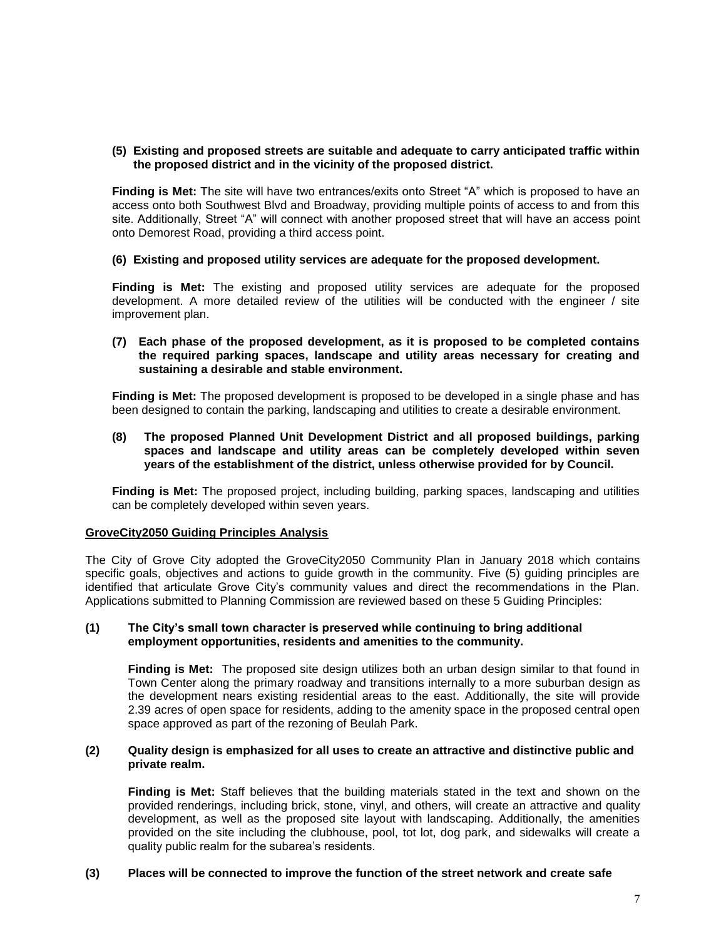## **(5) Existing and proposed streets are suitable and adequate to carry anticipated traffic within the proposed district and in the vicinity of the proposed district.**

**Finding is Met:** The site will have two entrances/exits onto Street "A" which is proposed to have an access onto both Southwest Blvd and Broadway, providing multiple points of access to and from this site. Additionally, Street "A" will connect with another proposed street that will have an access point onto Demorest Road, providing a third access point.

#### **(6) Existing and proposed utility services are adequate for the proposed development.**

**Finding is Met:** The existing and proposed utility services are adequate for the proposed development. A more detailed review of the utilities will be conducted with the engineer / site improvement plan.

# **(7) Each phase of the proposed development, as it is proposed to be completed contains the required parking spaces, landscape and utility areas necessary for creating and sustaining a desirable and stable environment.**

**Finding is Met:** The proposed development is proposed to be developed in a single phase and has been designed to contain the parking, landscaping and utilities to create a desirable environment.

# **(8) The proposed Planned Unit Development District and all proposed buildings, parking spaces and landscape and utility areas can be completely developed within seven years of the establishment of the district, unless otherwise provided for by Council.**

**Finding is Met:** The proposed project, including building, parking spaces, landscaping and utilities can be completely developed within seven years.

#### **GroveCity2050 Guiding Principles Analysis**

The City of Grove City adopted the GroveCity2050 Community Plan in January 2018 which contains specific goals, objectives and actions to guide growth in the community. Five (5) guiding principles are identified that articulate Grove City's community values and direct the recommendations in the Plan. Applications submitted to Planning Commission are reviewed based on these 5 Guiding Principles:

#### **(1) The City's small town character is preserved while continuing to bring additional employment opportunities, residents and amenities to the community.**

**Finding is Met:** The proposed site design utilizes both an urban design similar to that found in Town Center along the primary roadway and transitions internally to a more suburban design as the development nears existing residential areas to the east. Additionally, the site will provide 2.39 acres of open space for residents, adding to the amenity space in the proposed central open space approved as part of the rezoning of Beulah Park.

#### **(2) Quality design is emphasized for all uses to create an attractive and distinctive public and private realm.**

**Finding is Met:** Staff believes that the building materials stated in the text and shown on the provided renderings, including brick, stone, vinyl, and others, will create an attractive and quality development, as well as the proposed site layout with landscaping. Additionally, the amenities provided on the site including the clubhouse, pool, tot lot, dog park, and sidewalks will create a quality public realm for the subarea's residents.

# **(3) Places will be connected to improve the function of the street network and create safe**